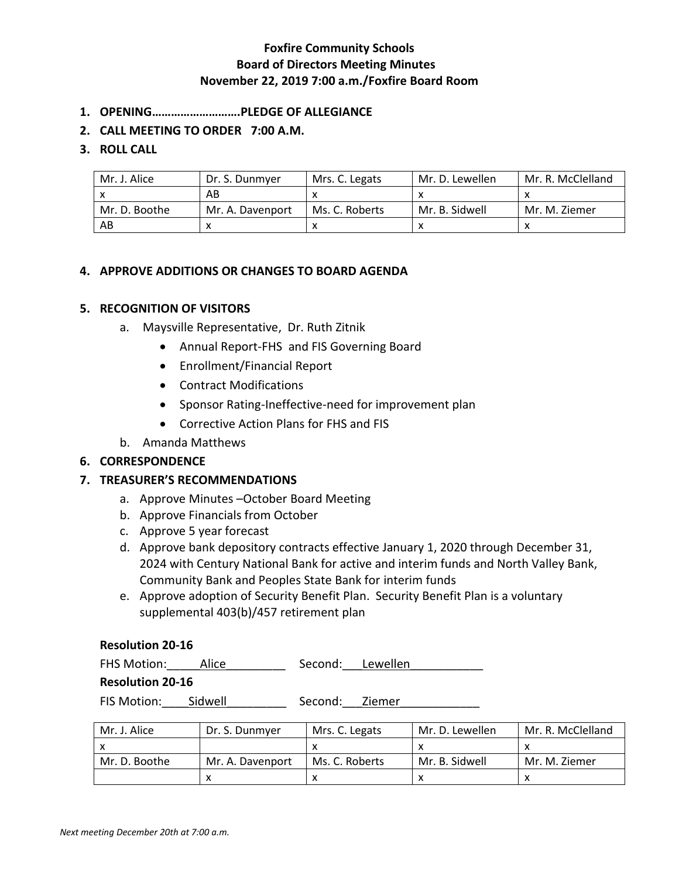## **Foxfire Community Schools Board of Directors Meeting Minutes November 22, 2019 7:00 a.m./Foxfire Board Room**

- **1. OPENING……………………….PLEDGE OF ALLEGIANCE**
- **2. CALL MEETING TO ORDER 7:00 A.M.**

### **3. ROLL CALL**

| Mr. J. Alice  | Dr. S. Dunmyer   | Mrs. C. Legats | Mr. D. Lewellen | Mr. R. McClelland |
|---------------|------------------|----------------|-----------------|-------------------|
|               | AB               |                |                 |                   |
| Mr. D. Boothe | Mr. A. Davenport | Ms. C. Roberts | Mr. B. Sidwell  | Mr. M. Ziemer     |
| AB            |                  |                |                 |                   |

### **4. APPROVE ADDITIONS OR CHANGES TO BOARD AGENDA**

#### **5. RECOGNITION OF VISITORS**

- a. Maysville Representative, Dr. Ruth Zitnik
	- Annual Report-FHS and FIS Governing Board
	- Enrollment/Financial Report
	- Contract Modifications
	- Sponsor Rating-Ineffective-need for improvement plan
	- Corrective Action Plans for FHS and FIS
- b. Amanda Matthews

#### **6. CORRESPONDENCE**

#### **7. TREASURER'S RECOMMENDATIONS**

- a. Approve Minutes –October Board Meeting
- b. Approve Financials from October
- c. Approve 5 year forecast
- d. Approve bank depository contracts effective January 1, 2020 through December 31, 2024 with Century National Bank for active and interim funds and North Valley Bank, Community Bank and Peoples State Bank for interim funds
- e. Approve adoption of Security Benefit Plan. Security Benefit Plan is a voluntary supplemental 403(b)/457 retirement plan

### **Resolution 20-16**

| <b>FHS Motion:</b> | Alice | Second: | Lewellen |  |
|--------------------|-------|---------|----------|--|
|                    |       |         |          |  |

### **Resolution 20-16**

FIS Motion: Sidwell Second: Ziemer

| Mr. J. Alice  | Dr. S. Dunmyer   | Mrs. C. Legats | Mr. D. Lewellen | Mr. R. McClelland |
|---------------|------------------|----------------|-----------------|-------------------|
|               |                  |                |                 |                   |
| Mr. D. Boothe | Mr. A. Davenport | Ms. C. Roberts | Mr. B. Sidwell  | Mr. M. Ziemer     |
|               |                  |                |                 |                   |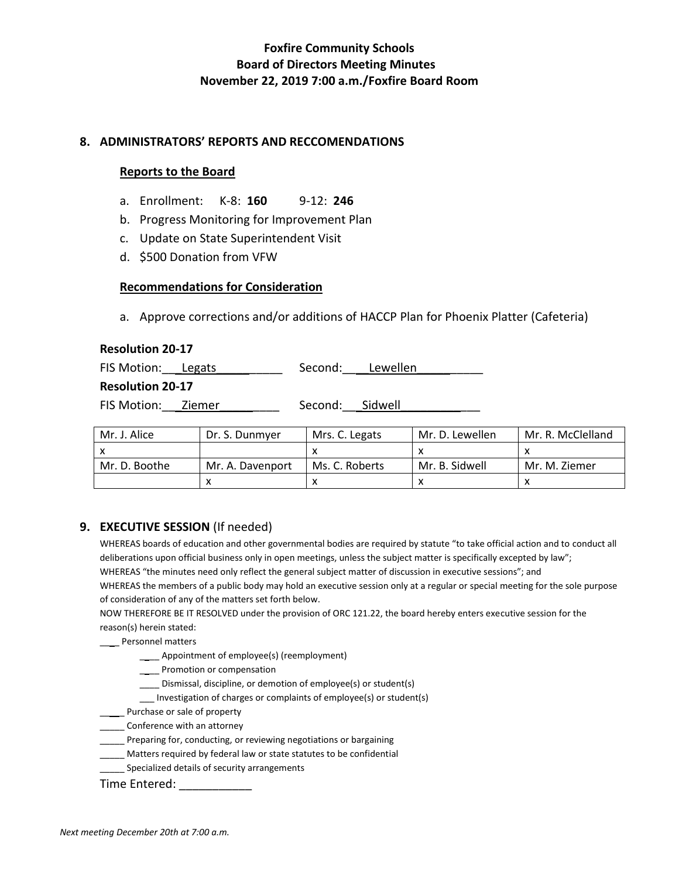# **Foxfire Community Schools Board of Directors Meeting Minutes November 22, 2019 7:00 a.m./Foxfire Board Room**

#### **8. ADMINISTRATORS' REPORTS AND RECCOMENDATIONS**

### **Reports to the Board**

- a. Enrollment: K-8: **160** 9-12: **246**
- b. Progress Monitoring for Improvement Plan
- c. Update on State Superintendent Visit
- d. \$500 Donation from VFW

### **Recommendations for Consideration**

a. Approve corrections and/or additions of HACCP Plan for Phoenix Platter (Cafeteria)

#### **Resolution 20-17**

| FIS Motion: Legats      | Second: Lewellen |  |
|-------------------------|------------------|--|
| <b>Resolution 20-17</b> |                  |  |
| FIS Motion: Ziemer      | Second: Sidwell  |  |

| Mr. J. Alice  | Dr. S. Dunmyer   | Mrs. C. Legats | Mr. D. Lewellen | Mr. R. McClelland |
|---------------|------------------|----------------|-----------------|-------------------|
|               |                  |                |                 |                   |
| Mr. D. Boothe | Mr. A. Davenport | Ms. C. Roberts | Mr. B. Sidwell  | Mr. M. Ziemer     |
|               |                  |                |                 |                   |

### **9. EXECUTIVE SESSION** (If needed)

WHEREAS boards of education and other governmental bodies are required by statute "to take official action and to conduct all deliberations upon official business only in open meetings, unless the subject matter is specifically excepted by law"; WHEREAS "the minutes need only reflect the general subject matter of discussion in executive sessions"; and WHEREAS the members of a public body may hold an executive session only at a regular or special meeting for the sole purpose of consideration of any of the matters set forth below.

NOW THEREFORE BE IT RESOLVED under the provision of ORC 121.22, the board hereby enters executive session for the reason(s) herein stated:

\_\_\_\_ Personnel matters

- \_\_\_\_ Appointment of employee(s) (reemployment)
- \_\_\_\_ Promotion or compensation
- \_\_\_\_ Dismissal, discipline, or demotion of employee(s) or student(s)
- \_\_\_ Investigation of charges or complaints of employee(s) or student(s)
- \_\_\_\_\_ Purchase or sale of property
- **\_\_\_\_\_** Conference with an attorney
- Preparing for, conducting, or reviewing negotiations or bargaining
- \_\_\_\_\_ Matters required by federal law or state statutes to be confidential
- Specialized details of security arrangements

Time Entered: \_\_\_\_\_\_\_\_\_\_\_